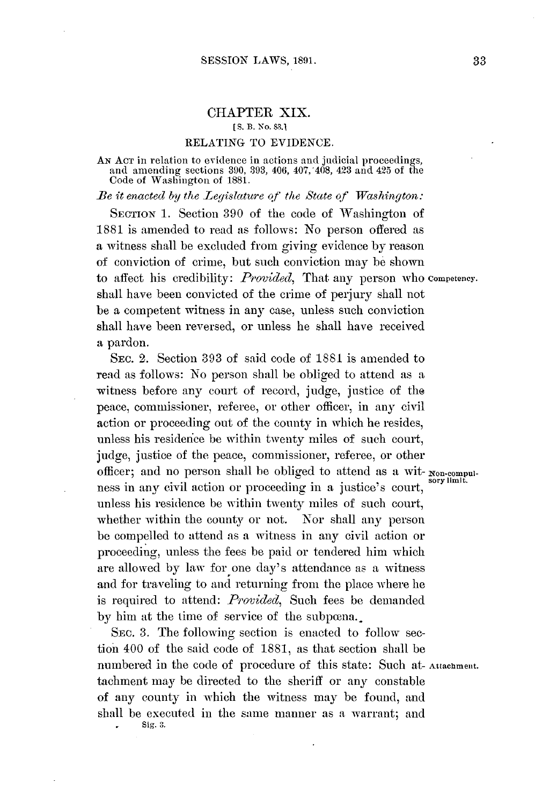# CHAPTER XIX.

#### **[S.** B. No. **83.1**

### **RELATING** TO **EVIDENCE.**

**AN ACT** in relation to evidence **in** actions and judicial proceedings, and amending sections **390, 393,** 406, 407,'408, 423 and 425 of the Code of Washington of **1881.**

*Be it enacted by the Legislature of the State of Washington:*

**SECTION 1.** Section **390** of the code of Washington of **1881** is amended to read as follows: No person offered as a witness shall be excluded from giving evidence **by** reason of conviction of crime, but such conviction may be shown to affect his credibility: *Provided,* That any person who **competency.** shall have been convicted of the crime of perjury shall not be a competent witness in any case, unless such conviction shall have been reversed, or unless he shall have received a pardon.

**SEC.** 2. Section **393** of said code of 1881 is amended to read as follows: No person shall **be** obliged to attend as a witness before any court of record, judge, justice of the peace, commissioner, referee, or other officer, in any civil action or proceeding out of the county in which he resides, unless his residence be within twenty miles of such court, judge, justice of the peace, commissioner, referee, or other officer; and no person shall be obliged to attend as a wit- **Non.compul-**sorylimit. ness in any civil action or proceeding in a justice's court, unless his residence be within twenty miles of such court, whether within the county or not. Nor shall any person be compelled to attend as a witness in any civil action or proceeding, unless the fees be paid or tendered him which are allowed **by** law for one day's attendance as a witness and for traveling to and returning from the place where he is required to attend: *Provided,* Such fees **be** demanded by him at the time of service of the subpena.

**SEc. 3.** The following section is enacted to follow section 400 of the said code of **1881,** as that section shall be numbered in the code of procedure of this state: Such at-Attachment. tachment may be directed to the sheriff or any constable of any county in which the witness may be found, and shall be executed in the same manner as a warrant; and **Sig. 3.**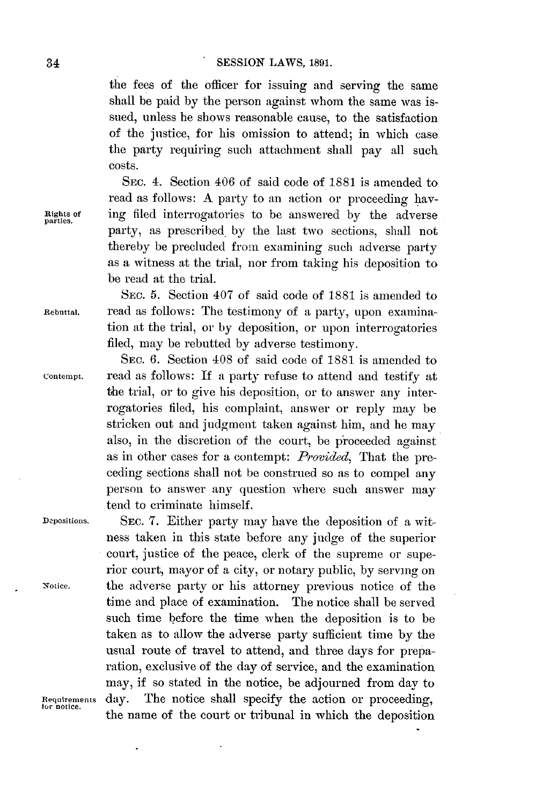the fees of the officer for issuing and serving the same shall be paid **by** the person against whom the same was issued, unless he shows reasonable cause, to the satisfaction of the justice, for his omission to attend; in which case the party requiring such attachment shall pay all such costs.

SEC. 4. Section 406 of said code of **1881** is amended to read as follows: **A** party to an action or proceeding havights of ing filed interrogatories to be answered **by** the adverse party, as prescribed. **by** the last two sections, shall not thereby be precluded from examining such adverse party as a witness at the trial, nor from taking his deposition to be read at the trial.

**SEC. 5.** Section 407 of said code of **1881** is amended to Rebuttal. read as follows: The testimony of a party, upon examination at the trial, or **by** deposition, or upon interrogatories filed, may be rebutted **by** adverse testimony.

SEC. **6.** Section 408 of said code of **1881** is amended to Contempt. read as follows: If a party refuse to attend and testify at the trial, or to give his deposition, or to answer any interrogatories filed, his complaint, answer or reply may be stricken out and judgment taken against him, and he may also, in the discretion of the court, be proceeded against as in other cases for a contempt: *Provided,* That the preceding sections shall not be construed so as to compel any person to answer any question where such answer may tend to criminate himself.

Depositions. **SEC. 7.** Either party may have the deposition of a witness taken in this state before any judge of the superior court, justice of the peace, clerk of the supreme or superior court, mayor of a city, or notary public, **by** serving on Notice. the adverse party or his attorney previous notice of the time and place of examination. The notice shall be served such time before the time when the deposition is to be taken as to allow the adverse party sufficient time **by** the usual route of travel to attend, and three days for preparation, exclusive of the day of service, and the examination may, if so stated in the notice, be adjourned from day to Requirements day. The notice shall specify the action or proceeding, the name of the court or tribunal in which the deposition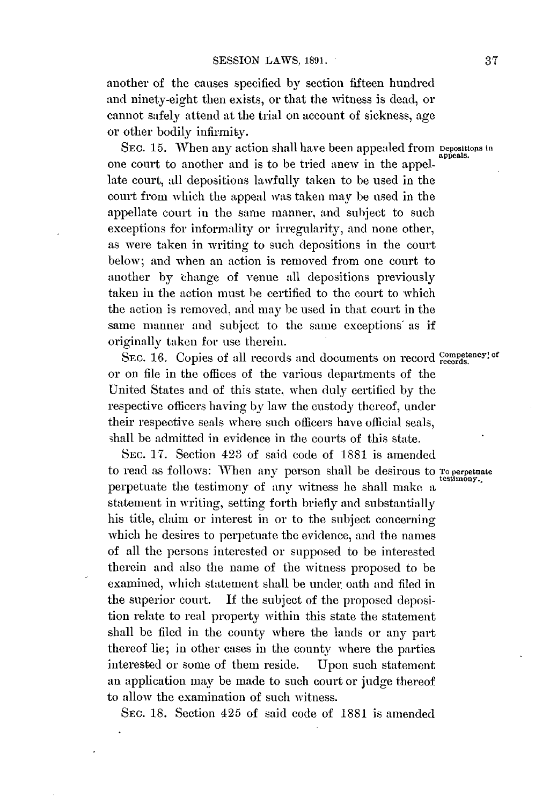another of the causes specified **by** section fifteen hundred and ninety-eight then exists, or that the witness is dead, or cannot safely attend at the trial on account of sickness, age or other bodily infirmity.

SEC. 15. When any action shall have been appealed from Depositions **i**n one court to another and is to be tried anew in the appellate court, all depositions lawfully taken to be used in the court from which the appeal was taken may be used in the appellate court in the same manner, and subject to such exceptions for informality or irregularity, and none other, as were taken in writing to such depositions in the court below; and when an action is removed from one court to another **by** ihange of venue **all** depositions previously taken in the action must be certified to the court to which the action is removed, and may **be** used in that court in the same manner and subject to the same exceptions' as if originally taken for use therein.

SEC. 16. Copies of all records and documents on record competency.<sup>of</sup> or on file in the offices of the various departments of the United States and of this state, when duly certified **by** the respective officers having **by** law the custody thereof, under their respective seals where such officers have official seals, shall be admitted in evidence in the courts of this state.

**SEC. 17.** Section 423 **of** said code **of 1881** is amended to read as follows: When any person shall be desirous to **To perpetuate** perpetuate the testimony of any witness he shall make a statement in writing, setting forth briefly and substantially his title, claim or interest in or to the subject concerning which he desires to perpetuate the evidence, and the names of all the persons interested or supposed to be interested therein and also the name of the witness proposed to be examined, which statement shall be under oath and filed in the superior court. If the subject of the proposed deposition relate to real property within this state the statement shall be filed in the county where the lands or any part thereof lie; in other cases in the county where the parties interested or some of them reside. Upon such statement an application **may** be made to such court or judge thereof to allow the examination of such witness.

SEC. **18.** Section 425 of said code of **1881** is amended